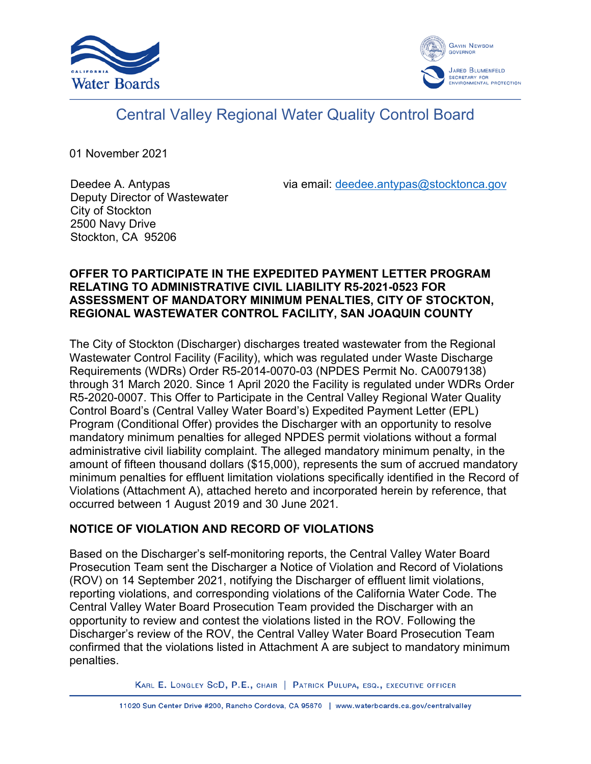



# Central Valley Regional Water Quality Control Board

01 November 2021

Stockton, CA 95206

Deedee A. Antypas Deputy Director of Wastewater City of Stockton 2500 Navy Drive

via email: [deedee.antypas@stocktonca.gov](mailto:deedee.antypas@stocktonca.gov)

### **OFFER TO PARTICIPATE IN THE EXPEDITED PAYMENT LETTER PROGRAM RELATING TO ADMINISTRATIVE CIVIL LIABILITY R5-2021-0523 FOR ASSESSMENT OF MANDATORY MINIMUM PENALTIES, CITY OF STOCKTON, REGIONAL WASTEWATER CONTROL FACILITY, SAN JOAQUIN COUNTY**

The City of Stockton (Discharger) discharges treated wastewater from the Regional Wastewater Control Facility (Facility), which was regulated under Waste Discharge Requirements (WDRs) Order R5-2014-0070-03 (NPDES Permit No. CA0079138) through 31 March 2020. Since 1 April 2020 the Facility is regulated under WDRs Order R5-2020-0007. This Offer to Participate in the Central Valley Regional Water Quality Control Board's (Central Valley Water Board's) Expedited Payment Letter (EPL) Program (Conditional Offer) provides the Discharger with an opportunity to resolve mandatory minimum penalties for alleged NPDES permit violations without a formal administrative civil liability complaint. The alleged mandatory minimum penalty, in the amount of fifteen thousand dollars (\$15,000), represents the sum of accrued mandatory minimum penalties for effluent limitation violations specifically identified in the Record of Violations (Attachment A), attached hereto and incorporated herein by reference, that occurred between 1 August 2019 and 30 June 2021.

# **NOTICE OF VIOLATION AND RECORD OF VIOLATIONS**

Based on the Discharger's self-monitoring reports, the Central Valley Water Board Prosecution Team sent the Discharger a Notice of Violation and Record of Violations (ROV) on 14 September 2021, notifying the Discharger of effluent limit violations, reporting violations, and corresponding violations of the California Water Code. The Central Valley Water Board Prosecution Team provided the Discharger with an opportunity to review and contest the violations listed in the ROV. Following the Discharger's review of the ROV, the Central Valley Water Board Prosecution Team confirmed that the violations listed in Attachment A are subject to mandatory minimum penalties.

KARL E. LONGLEY SCD, P.E., CHAIR | PATRICK PULUPA, ESQ., EXECUTIVE OFFICER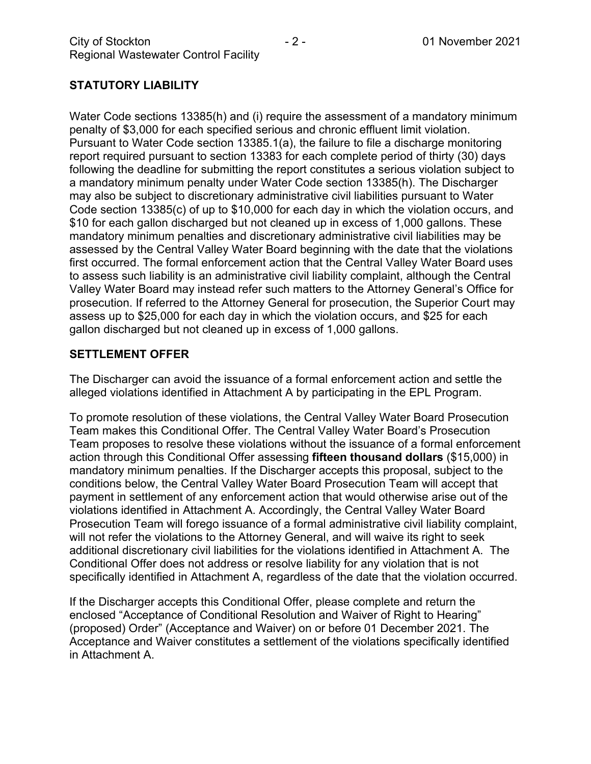## **STATUTORY LIABILITY**

Water Code sections 13385(h) and (i) require the assessment of a mandatory minimum penalty of \$3,000 for each specified serious and chronic effluent limit violation. Pursuant to Water Code section 13385.1(a), the failure to file a discharge monitoring report required pursuant to section 13383 for each complete period of thirty (30) days following the deadline for submitting the report constitutes a serious violation subject to a mandatory minimum penalty under Water Code section 13385(h). The Discharger may also be subject to discretionary administrative civil liabilities pursuant to Water Code section 13385(c) of up to \$10,000 for each day in which the violation occurs, and \$10 for each gallon discharged but not cleaned up in excess of 1,000 gallons. These mandatory minimum penalties and discretionary administrative civil liabilities may be assessed by the Central Valley Water Board beginning with the date that the violations first occurred. The formal enforcement action that the Central Valley Water Board uses to assess such liability is an administrative civil liability complaint, although the Central Valley Water Board may instead refer such matters to the Attorney General's Office for prosecution. If referred to the Attorney General for prosecution, the Superior Court may assess up to \$25,000 for each day in which the violation occurs, and \$25 for each gallon discharged but not cleaned up in excess of 1,000 gallons.

#### **SETTLEMENT OFFER**

The Discharger can avoid the issuance of a formal enforcement action and settle the alleged violations identified in Attachment A by participating in the EPL Program.

To promote resolution of these violations, the Central Valley Water Board Prosecution Team makes this Conditional Offer. The Central Valley Water Board's Prosecution Team proposes to resolve these violations without the issuance of a formal enforcement action through this Conditional Offer assessing **fifteen thousand dollars** (\$15,000) in mandatory minimum penalties. If the Discharger accepts this proposal, subject to the conditions below, the Central Valley Water Board Prosecution Team will accept that payment in settlement of any enforcement action that would otherwise arise out of the violations identified in Attachment A. Accordingly, the Central Valley Water Board Prosecution Team will forego issuance of a formal administrative civil liability complaint, will not refer the violations to the Attorney General, and will waive its right to seek additional discretionary civil liabilities for the violations identified in Attachment A. The Conditional Offer does not address or resolve liability for any violation that is not specifically identified in Attachment A, regardless of the date that the violation occurred.

If the Discharger accepts this Conditional Offer, please complete and return the enclosed "Acceptance of Conditional Resolution and Waiver of Right to Hearing" (proposed) Order" (Acceptance and Waiver) on or before 01 December 2021. The Acceptance and Waiver constitutes a settlement of the violations specifically identified in Attachment A.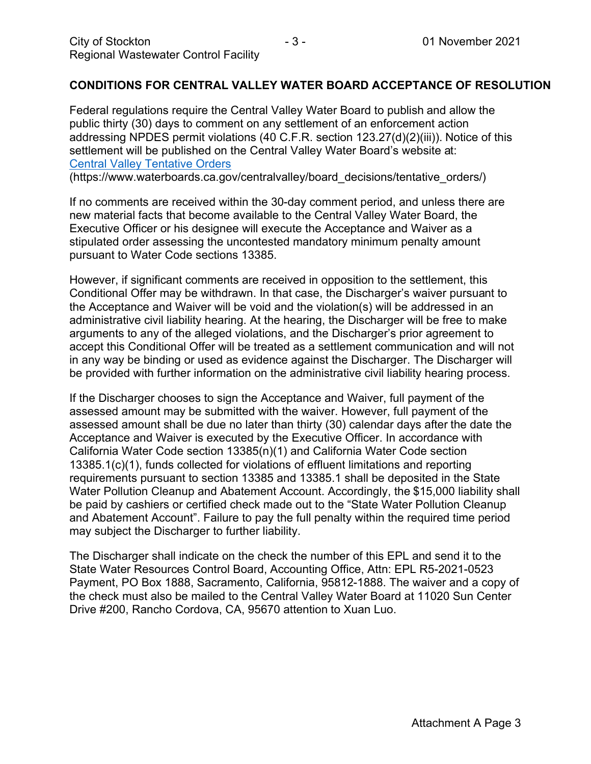#### **CONDITIONS FOR CENTRAL VALLEY WATER BOARD ACCEPTANCE OF RESOLUTION**

Federal regulations require the Central Valley Water Board to publish and allow the public thirty (30) days to comment on any settlement of an enforcement action addressing NPDES permit violations (40 C.F.R. section 123.27(d)(2)(iii)). Notice of this settlement will be published on the Central Valley Water Board's website at: [Central Valley Tentative Orders](https://www.waterboards.ca.gov/centralvalley/board_decisions/tentative_orders/)

(https://www.waterboards.ca.gov/centralvalley/board\_decisions/tentative\_orders/)

If no comments are received within the 30-day comment period, and unless there are new material facts that become available to the Central Valley Water Board, the Executive Officer or his designee will execute the Acceptance and Waiver as a stipulated order assessing the uncontested mandatory minimum penalty amount pursuant to Water Code sections 13385.

However, if significant comments are received in opposition to the settlement, this Conditional Offer may be withdrawn. In that case, the Discharger's waiver pursuant to the Acceptance and Waiver will be void and the violation(s) will be addressed in an administrative civil liability hearing. At the hearing, the Discharger will be free to make arguments to any of the alleged violations, and the Discharger's prior agreement to accept this Conditional Offer will be treated as a settlement communication and will not in any way be binding or used as evidence against the Discharger. The Discharger will be provided with further information on the administrative civil liability hearing process.

If the Discharger chooses to sign the Acceptance and Waiver, full payment of the assessed amount may be submitted with the waiver. However, full payment of the assessed amount shall be due no later than thirty (30) calendar days after the date the Acceptance and Waiver is executed by the Executive Officer. In accordance with California Water Code section 13385(n)(1) and California Water Code section 13385.1(c)(1), funds collected for violations of effluent limitations and reporting requirements pursuant to section 13385 and 13385.1 shall be deposited in the State Water Pollution Cleanup and Abatement Account. Accordingly, the \$15,000 liability shall be paid by cashiers or certified check made out to the "State Water Pollution Cleanup and Abatement Account". Failure to pay the full penalty within the required time period may subject the Discharger to further liability.

The Discharger shall indicate on the check the number of this EPL and send it to the State Water Resources Control Board, Accounting Office, Attn: EPL R5-2021-0523 Payment, PO Box 1888, Sacramento, California, 95812-1888. The waiver and a copy of the check must also be mailed to the Central Valley Water Board at 11020 Sun Center Drive #200, Rancho Cordova, CA, 95670 attention to Xuan Luo.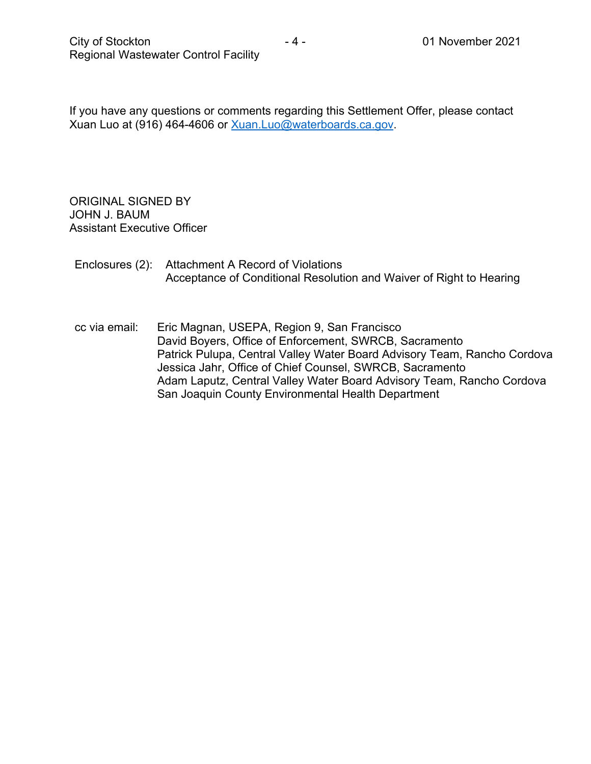If you have any questions or comments regarding this Settlement Offer, please contact Xuan Luo at (916) 464-4606 or [Xuan.Luo@waterboards.ca.gov.](mailto:Xuan.Luo@waterboards.ca.gov)

ORIGINAL SIGNED BY JOHN J. BAUM Assistant Executive Officer

### Enclosures (2): Attachment A Record of Violations Acceptance of Conditional Resolution and Waiver of Right to Hearing

cc via email: Eric Magnan, USEPA, Region 9, San Francisco David Boyers, Office of Enforcement, SWRCB, Sacramento Patrick Pulupa, Central Valley Water Board Advisory Team, Rancho Cordova Jessica Jahr, Office of Chief Counsel, SWRCB, Sacramento Adam Laputz, Central Valley Water Board Advisory Team, Rancho Cordova San Joaquin County Environmental Health Department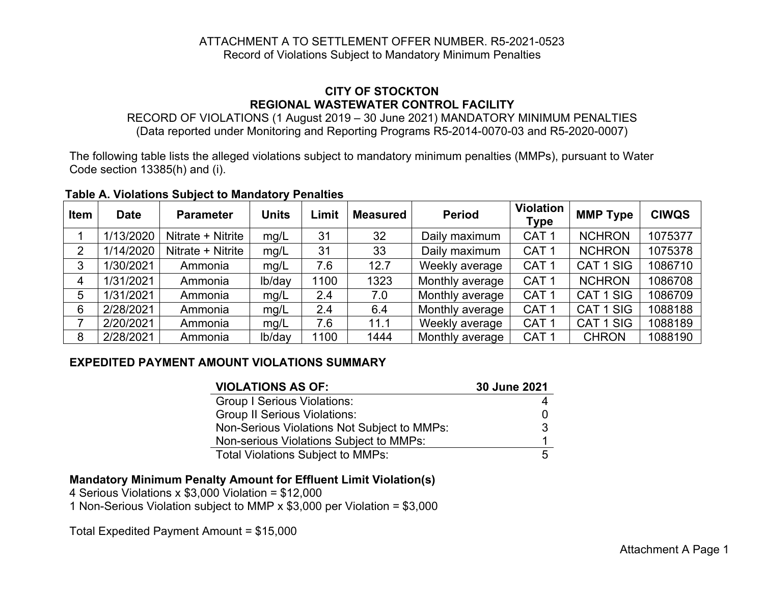#### ATTACHMENT A TO SETTLEMENT OFFER NUMBER. R5-2021-0523 Record of Violations Subject to Mandatory Minimum Penalties

### **CITY OF STOCKTON REGIONAL WASTEWATER CONTROL FACILITY**

RECORD OF VIOLATIONS (1 August 2019 – 30 June 2021) MANDATORY MINIMUM PENALTIES (Data reported under Monitoring and Reporting Programs R5-2014-0070-03 and R5-2020-0007)

The following table lists the alleged violations subject to mandatory minimum penalties (MMPs), pursuant to Water Code section 13385(h) and (i).

| Item | <b>Date</b> | <b>Parameter</b>  | <b>Units</b> | ∟imit | <b>Measured</b> | <b>Period</b>   | <b>Violation</b><br>Type | <b>MMP Type</b> | <b>CIWQS</b> |
|------|-------------|-------------------|--------------|-------|-----------------|-----------------|--------------------------|-----------------|--------------|
|      | 1/13/2020   | Nitrate + Nitrite | mg/L         | 31    | 32              | Daily maximum   | CAT <sub>1</sub>         | <b>NCHRON</b>   | 1075377      |
| 2    | 1/14/2020   | Nitrate + Nitrite | mg/L         | 31    | 33              | Daily maximum   | CAT <sub>1</sub>         | <b>NCHRON</b>   | 1075378      |
| 3    | 1/30/2021   | Ammonia           | mg/L         | 7.6   | 12.7            | Weekly average  | CAT <sub>1</sub>         | CAT 1 SIG       | 1086710      |
|      | 1/31/2021   | Ammonia           | lb/day       | 1100  | 1323            | Monthly average | CAT <sub>1</sub>         | <b>NCHRON</b>   | 1086708      |
| 5    | 1/31/2021   | Ammonia           | mg/L         | 2.4   | 7.0             | Monthly average | CAT <sub>1</sub>         | CAT 1 SIG       | 1086709      |
| 6    | 2/28/2021   | Ammonia           | mg/L         | 2.4   | 6.4             | Monthly average | CAT <sub>1</sub>         | CAT 1 SIG       | 1088188      |
|      | 2/20/2021   | Ammonia           | mg/L         | 7.6   | 11.1            | Weekly average  | CAT <sub>1</sub>         | CAT 1 SIG       | 1088189      |
| 8    | 2/28/2021   | Ammonia           | lb/day       | 1100  | 1444            | Monthly average | CAT <sub>1</sub>         | <b>CHRON</b>    | 1088190      |

#### **Table A. Violations Subject to Mandatory Penalties**

## **EXPEDITED PAYMENT AMOUNT VIOLATIONS SUMMARY**

| <b>VIOLATIONS AS OF:</b>                    | 30 June 2021 |
|---------------------------------------------|--------------|
| <b>Group I Serious Violations:</b>          |              |
| <b>Group II Serious Violations:</b>         |              |
| Non-Serious Violations Not Subject to MMPs: | З            |
| Non-serious Violations Subject to MMPs:     |              |
| <b>Total Violations Subject to MMPs:</b>    | 5            |

## **Mandatory Minimum Penalty Amount for Effluent Limit Violation(s)**

4 Serious Violations x \$3,000 Violation = \$12,000

1 Non-Serious Violation subject to MMP x \$3,000 per Violation = \$3,000

Total Expedited Payment Amount = \$15,000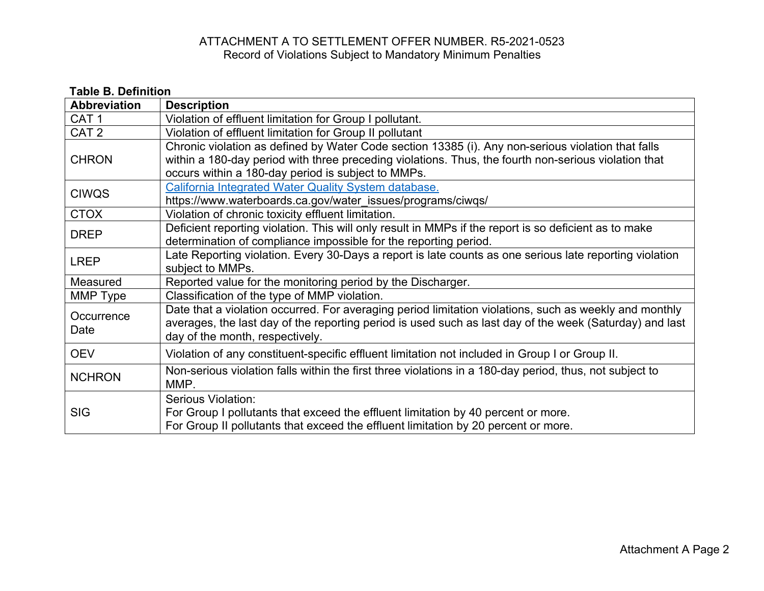# ATTACHMENT A TO SETTLEMENT OFFER NUMBER. R5-2021-0523 Record of Violations Subject to Mandatory Minimum Penalties

| <b>Table B. Definition</b> |                                                                                                                                                                                                                                                                  |  |  |  |  |
|----------------------------|------------------------------------------------------------------------------------------------------------------------------------------------------------------------------------------------------------------------------------------------------------------|--|--|--|--|
| <b>Abbreviation</b>        | <b>Description</b>                                                                                                                                                                                                                                               |  |  |  |  |
| CAT <sub>1</sub>           | Violation of effluent limitation for Group I pollutant.                                                                                                                                                                                                          |  |  |  |  |
| CAT <sub>2</sub>           | Violation of effluent limitation for Group II pollutant                                                                                                                                                                                                          |  |  |  |  |
| <b>CHRON</b>               | Chronic violation as defined by Water Code section 13385 (i). Any non-serious violation that falls<br>within a 180-day period with three preceding violations. Thus, the fourth non-serious violation that<br>occurs within a 180-day period is subject to MMPs. |  |  |  |  |
| <b>CIWQS</b>               | California Integrated Water Quality System database.<br>https://www.waterboards.ca.gov/water_issues/programs/ciwqs/                                                                                                                                              |  |  |  |  |
| <b>CTOX</b>                | Violation of chronic toxicity effluent limitation.                                                                                                                                                                                                               |  |  |  |  |
| <b>DREP</b>                | Deficient reporting violation. This will only result in MMPs if the report is so deficient as to make<br>determination of compliance impossible for the reporting period.                                                                                        |  |  |  |  |
| <b>LREP</b>                | Late Reporting violation. Every 30-Days a report is late counts as one serious late reporting violation<br>subject to MMPs.                                                                                                                                      |  |  |  |  |
| Measured                   | Reported value for the monitoring period by the Discharger.                                                                                                                                                                                                      |  |  |  |  |
| MMP Type                   | Classification of the type of MMP violation.                                                                                                                                                                                                                     |  |  |  |  |
| Occurrence<br>Date         | Date that a violation occurred. For averaging period limitation violations, such as weekly and monthly<br>averages, the last day of the reporting period is used such as last day of the week (Saturday) and last<br>day of the month, respectively.             |  |  |  |  |
| <b>OEV</b>                 | Violation of any constituent-specific effluent limitation not included in Group I or Group II.                                                                                                                                                                   |  |  |  |  |
| <b>NCHRON</b>              | Non-serious violation falls within the first three violations in a 180-day period, thus, not subject to<br>MMP.                                                                                                                                                  |  |  |  |  |
| <b>SIG</b>                 | Serious Violation:<br>For Group I pollutants that exceed the effluent limitation by 40 percent or more.<br>For Group II pollutants that exceed the effluent limitation by 20 percent or more.                                                                    |  |  |  |  |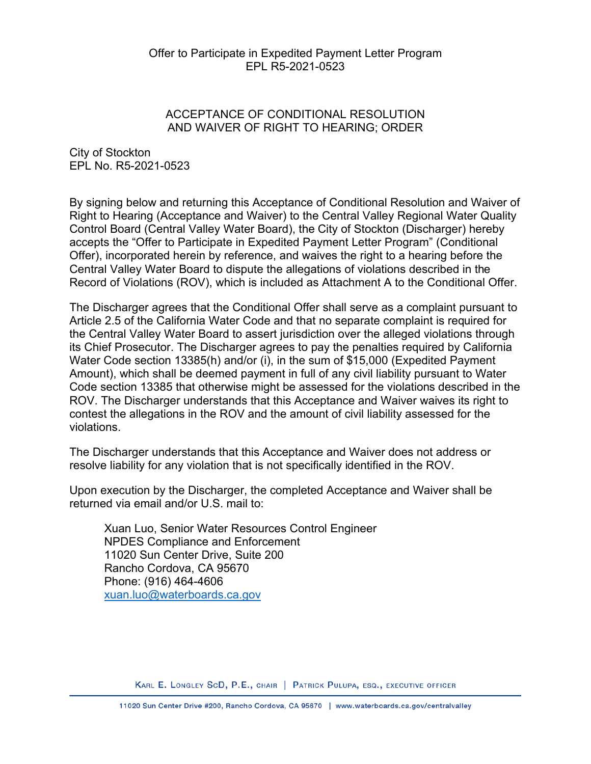#### Offer to Participate in Expedited Payment Letter Program EPL R5-2021-0523

### ACCEPTANCE OF CONDITIONAL RESOLUTION AND WAIVER OF RIGHT TO HEARING; ORDER

City of Stockton EPL No. R5-2021-0523

By signing below and returning this Acceptance of Conditional Resolution and Waiver of Right to Hearing (Acceptance and Waiver) to the Central Valley Regional Water Quality Control Board (Central Valley Water Board), the City of Stockton (Discharger) hereby accepts the "Offer to Participate in Expedited Payment Letter Program" (Conditional Offer), incorporated herein by reference, and waives the right to a hearing before the Central Valley Water Board to dispute the allegations of violations described in the Record of Violations (ROV), which is included as Attachment A to the Conditional Offer.

The Discharger agrees that the Conditional Offer shall serve as a complaint pursuant to Article 2.5 of the California Water Code and that no separate complaint is required for the Central Valley Water Board to assert jurisdiction over the alleged violations through its Chief Prosecutor. The Discharger agrees to pay the penalties required by California Water Code section 13385(h) and/or (i), in the sum of \$15,000 (Expedited Payment Amount), which shall be deemed payment in full of any civil liability pursuant to Water Code section 13385 that otherwise might be assessed for the violations described in the ROV. The Discharger understands that this Acceptance and Waiver waives its right to contest the allegations in the ROV and the amount of civil liability assessed for the violations.

The Discharger understands that this Acceptance and Waiver does not address or resolve liability for any violation that is not specifically identified in the ROV.

Upon execution by the Discharger, the completed Acceptance and Waiver shall be returned via email and/or U.S. mail to:

Xuan Luo, Senior Water Resources Control Engineer NPDES Compliance and Enforcement 11020 Sun Center Drive, Suite 200 Rancho Cordova, CA 95670 Phone: (916) 464-4606 [xuan.luo@waterboards.ca.gov](mailto:xuan.luo@waterboards.ca.gov)

KARL E. LONGLEY SCD, P.E., CHAIR | PATRICK PULUPA, ESQ., EXECUTIVE OFFICER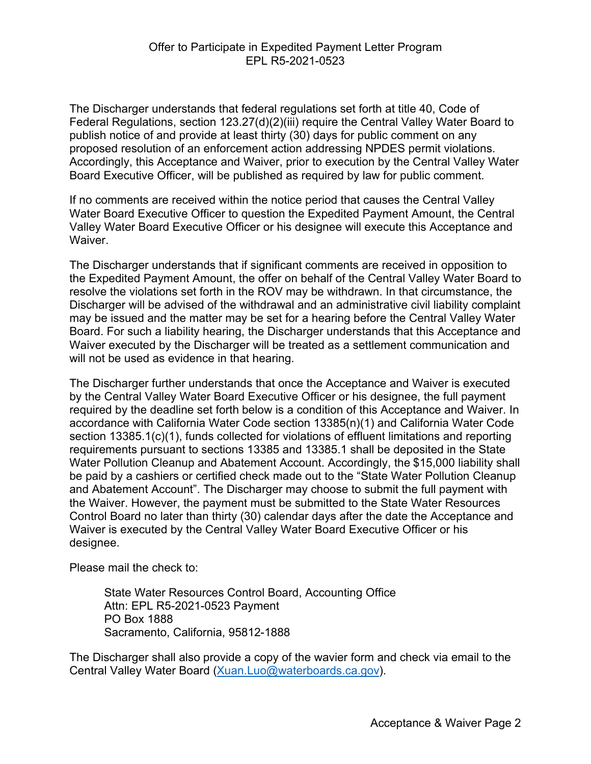The Discharger understands that federal regulations set forth at title 40, Code of Federal Regulations, section 123.27(d)(2)(iii) require the Central Valley Water Board to publish notice of and provide at least thirty (30) days for public comment on any proposed resolution of an enforcement action addressing NPDES permit violations. Accordingly, this Acceptance and Waiver, prior to execution by the Central Valley Water Board Executive Officer, will be published as required by law for public comment.

If no comments are received within the notice period that causes the Central Valley Water Board Executive Officer to question the Expedited Payment Amount, the Central Valley Water Board Executive Officer or his designee will execute this Acceptance and **Waiver** 

The Discharger understands that if significant comments are received in opposition to the Expedited Payment Amount, the offer on behalf of the Central Valley Water Board to resolve the violations set forth in the ROV may be withdrawn. In that circumstance, the Discharger will be advised of the withdrawal and an administrative civil liability complaint may be issued and the matter may be set for a hearing before the Central Valley Water Board. For such a liability hearing, the Discharger understands that this Acceptance and Waiver executed by the Discharger will be treated as a settlement communication and will not be used as evidence in that hearing.

The Discharger further understands that once the Acceptance and Waiver is executed by the Central Valley Water Board Executive Officer or his designee, the full payment required by the deadline set forth below is a condition of this Acceptance and Waiver. In accordance with California Water Code section 13385(n)(1) and California Water Code section 13385.1(c)(1), funds collected for violations of effluent limitations and reporting requirements pursuant to sections 13385 and 13385.1 shall be deposited in the State Water Pollution Cleanup and Abatement Account. Accordingly, the \$15,000 liability shall be paid by a cashiers or certified check made out to the "State Water Pollution Cleanup and Abatement Account". The Discharger may choose to submit the full payment with the Waiver. However, the payment must be submitted to the State Water Resources Control Board no later than thirty (30) calendar days after the date the Acceptance and Waiver is executed by the Central Valley Water Board Executive Officer or his designee.

Please mail the check to:

State Water Resources Control Board, Accounting Office Attn: EPL R5-2021-0523 Payment PO Box 1888 Sacramento, California, 95812-1888

The Discharger shall also provide a copy of the wavier form and check via email to the Central Valley Water Board ([Xuan.Luo@waterboards.ca.gov](mailto:Xuan.Luo@waterboards.ca.gov)).